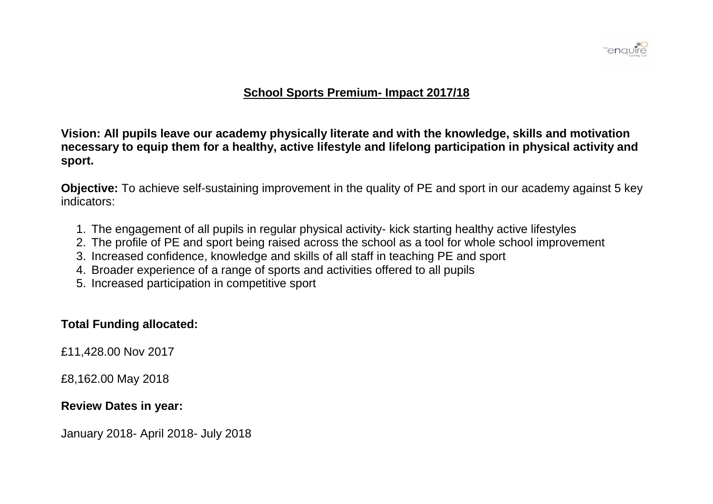

### **School Sports Premium- Impact 2017/18**

**Vision: All pupils leave our academy physically literate and with the knowledge, skills and motivation necessary to equip them for a healthy, active lifestyle and lifelong participation in physical activity and sport.** 

**Objective:** To achieve self-sustaining improvement in the quality of PE and sport in our academy against 5 key indicators:

- 1. The engagement of all pupils in regular physical activity- kick starting healthy active lifestyles
- 2. The profile of PE and sport being raised across the school as a tool for whole school improvement
- 3. Increased confidence, knowledge and skills of all staff in teaching PE and sport
- 4. Broader experience of a range of sports and activities offered to all pupils
- 5. Increased participation in competitive sport

# **Total Funding allocated:**

£11,428.00 Nov 2017

£8,162.00 May 2018

## **Review Dates in year:**

January 2018- April 2018- July 2018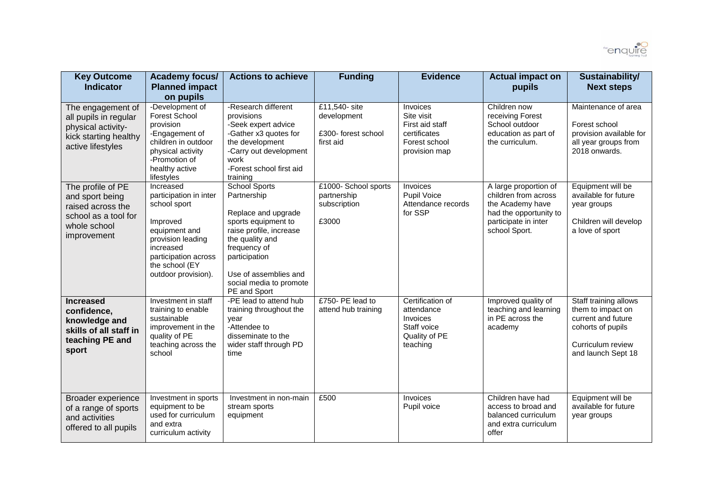

| <b>Key Outcome</b><br><b>Indicator</b>                                                                           | <b>Academy focus/</b><br><b>Planned impact</b><br>on pupils                                                                                                                         | <b>Actions to achieve</b>                                                                                                                                                                                                            | <b>Funding</b>                                                   | <b>Evidence</b>                                                                             | <b>Actual impact on</b><br>pupils                                                                                                    | Sustainability/<br><b>Next steps</b>                                                                                             |
|------------------------------------------------------------------------------------------------------------------|-------------------------------------------------------------------------------------------------------------------------------------------------------------------------------------|--------------------------------------------------------------------------------------------------------------------------------------------------------------------------------------------------------------------------------------|------------------------------------------------------------------|---------------------------------------------------------------------------------------------|--------------------------------------------------------------------------------------------------------------------------------------|----------------------------------------------------------------------------------------------------------------------------------|
| The engagement of<br>all pupils in regular<br>physical activity-<br>kick starting healthy<br>active lifestyles   | -Development of<br><b>Forest School</b><br>provision<br>-Engagement of<br>children in outdoor<br>physical activity<br>-Promotion of<br>healthy active<br>lifestyles                 | -Research different<br>provisions<br>-Seek expert advice<br>-Gather x3 quotes for<br>the development<br>-Carry out development<br>work<br>-Forest school first aid<br>training                                                       | £11,540- site<br>development<br>£300- forest school<br>first aid | Invoices<br>Site visit<br>First aid staff<br>certificates<br>Forest school<br>provision map | Children now<br>receiving Forest<br>School outdoor<br>education as part of<br>the curriculum.                                        | Maintenance of area<br>Forest school<br>provision available for<br>all year groups from<br>2018 onwards.                         |
| The profile of PE<br>and sport being<br>raised across the<br>school as a tool for<br>whole school<br>improvement | Increased<br>participation in inter<br>school sport<br>Improved<br>equipment and<br>provision leading<br>increased<br>participation across<br>the school (EY<br>outdoor provision). | <b>School Sports</b><br>Partnership<br>Replace and upgrade<br>sports equipment to<br>raise profile, increase<br>the quality and<br>frequency of<br>participation<br>Use of assemblies and<br>social media to promote<br>PE and Sport | £1000- School sports<br>partnership<br>subscription<br>£3000     | Invoices<br>Pupil Voice<br>Attendance records<br>for SSP                                    | A large proportion of<br>children from across<br>the Academy have<br>had the opportunity to<br>participate in inter<br>school Sport. | Equipment will be<br>available for future<br>year groups<br>Children will develop<br>a love of sport                             |
| <b>Increased</b><br>confidence,<br>knowledge and<br>skills of all staff in<br>teaching PE and<br>sport           | Investment in staff<br>training to enable<br>sustainable<br>improvement in the<br>quality of PE<br>teaching across the<br>school                                                    | -PE lead to attend hub<br>training throughout the<br>year<br>-Attendee to<br>disseminate to the<br>wider staff through PD<br>time                                                                                                    | £750- PE lead to<br>attend hub training                          | Certification of<br>attendance<br>Invoices<br>Staff voice<br>Quality of PE<br>teaching      | Improved quality of<br>teaching and learning<br>in PE across the<br>academy                                                          | Staff training allows<br>them to impact on<br>current and future<br>cohorts of pupils<br>Curriculum review<br>and launch Sept 18 |
| Broader experience<br>of a range of sports<br>and activities<br>offered to all pupils                            | Investment in sports<br>equipment to be<br>used for curriculum<br>and extra<br>curriculum activity                                                                                  | Investment in non-main<br>stream sports<br>equipment                                                                                                                                                                                 | £500                                                             | Invoices<br>Pupil voice                                                                     | Children have had<br>access to broad and<br>balanced curriculum<br>and extra curriculum<br>offer                                     | Equipment will be<br>available for future<br>year groups                                                                         |